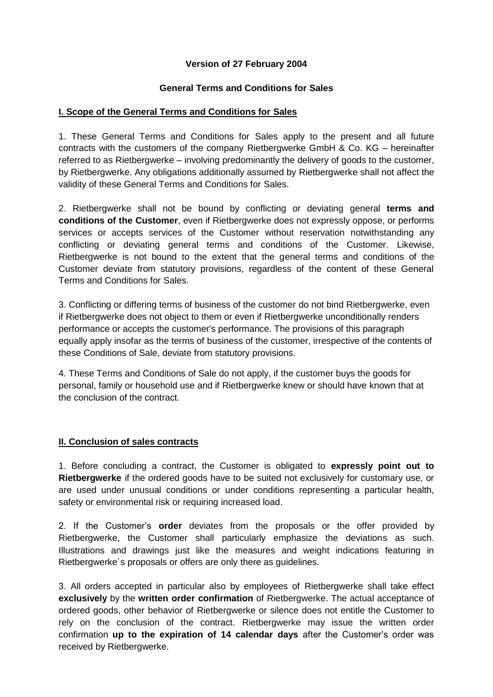## **Version of 27 February 2004**

#### **General Terms and Conditions for Sales**

#### **I. Scope of the General Terms and Conditions for Sales**

1. These General Terms and Conditions for Sales apply to the present and all future contracts with the customers of the company Rietbergwerke GmbH & Co. KG – hereinafter referred to as Rietbergwerke – involving predominantly the delivery of goods to the customer, by Rietbergwerke. Any obligations additionally assumed by Rietbergwerke shall not affect the validity of these General Terms and Conditions for Sales.

2. Rietbergwerke shall not be bound by conflicting or deviating general **terms and conditions of the Customer**, even if Rietbergwerke does not expressly oppose, or performs services or accepts services of the Customer without reservation notwithstanding any conflicting or deviating general terms and conditions of the Customer. Likewise, Rietbergwerke is not bound to the extent that the general terms and conditions of the Customer deviate from statutory provisions, regardless of the content of these General Terms and Conditions for Sales.

3. Conflicting or differing terms of business of the customer do not bind Rietbergwerke, even if Rietbergwerke does not object to them or even if Rietbergwerke unconditionally renders performance or accepts the customer's performance. The provisions of this paragraph equally apply insofar as the terms of business of the customer, irrespective of the contents of these Conditions of Sale, deviate from statutory provisions.

4. These Terms and Conditions of Sale do not apply, if the customer buys the goods for personal, family or household use and if Rietbergwerke knew or should have known that at the conclusion of the contract.

## **II. Conclusion of sales contracts**

1. Before concluding a contract, the Customer is obligated to **expressly point out to Rietbergwerke** if the ordered goods have to be suited not exclusively for customary use, or are used under unusual conditions or under conditions representing a particular health, safety or environmental risk or requiring increased load.

2. If the Customer's **order** deviates from the proposals or the offer provided by Rietbergwerke, the Customer shall particularly emphasize the deviations as such. Illustrations and drawings just like the measures and weight indications featuring in Rietbergwerke´s proposals or offers are only there as guidelines.

3. All orders accepted in particular also by employees of Rietbergwerke shall take effect **exclusively** by the **written order confirmation** of Rietbergwerke. The actual acceptance of ordered goods, other behavior of Rietbergwerke or silence does not entitle the Customer to rely on the conclusion of the contract. Rietbergwerke may issue the written order confirmation **up to the expiration of 14 calendar days** after the Customer's order was received by Rietbergwerke.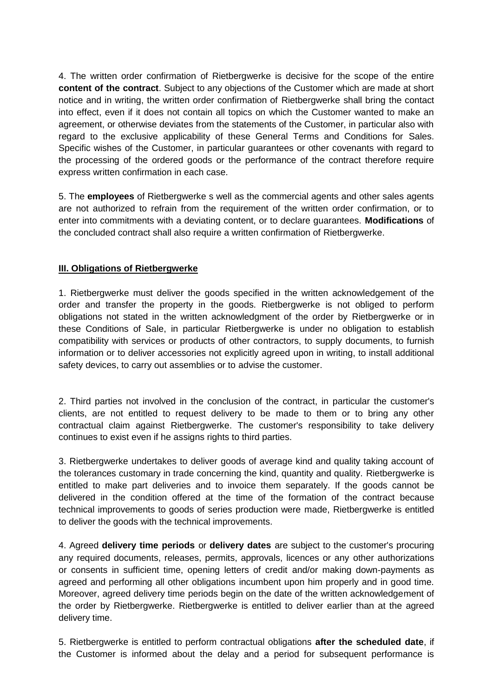4. The written order confirmation of Rietbergwerke is decisive for the scope of the entire **content of the contract**. Subject to any objections of the Customer which are made at short notice and in writing, the written order confirmation of Rietbergwerke shall bring the contact into effect, even if it does not contain all topics on which the Customer wanted to make an agreement, or otherwise deviates from the statements of the Customer, in particular also with regard to the exclusive applicability of these General Terms and Conditions for Sales. Specific wishes of the Customer, in particular guarantees or other covenants with regard to the processing of the ordered goods or the performance of the contract therefore require express written confirmation in each case.

5. The **employees** of Rietbergwerke s well as the commercial agents and other sales agents are not authorized to refrain from the requirement of the written order confirmation, or to enter into commitments with a deviating content, or to declare guarantees. **Modifications** of the concluded contract shall also require a written confirmation of Rietbergwerke.

### **III. Obligations of Rietbergwerke**

1. Rietbergwerke must deliver the goods specified in the written acknowledgement of the order and transfer the property in the goods. Rietbergwerke is not obliged to perform obligations not stated in the written acknowledgment of the order by Rietbergwerke or in these Conditions of Sale, in particular Rietbergwerke is under no obligation to establish compatibility with services or products of other contractors, to supply documents, to furnish information or to deliver accessories not explicitly agreed upon in writing, to install additional safety devices, to carry out assemblies or to advise the customer.

2. Third parties not involved in the conclusion of the contract, in particular the customer's clients, are not entitled to request delivery to be made to them or to bring any other contractual claim against Rietbergwerke. The customer's responsibility to take delivery continues to exist even if he assigns rights to third parties.

3. Rietbergwerke undertakes to deliver goods of average kind and quality taking account of the tolerances customary in trade concerning the kind, quantity and quality. Rietbergwerke is entitled to make part deliveries and to invoice them separately. If the goods cannot be delivered in the condition offered at the time of the formation of the contract because technical improvements to goods of series production were made, Rietbergwerke is entitled to deliver the goods with the technical improvements.

4. Agreed **delivery time periods** or **delivery dates** are subject to the customer's procuring any required documents, releases, permits, approvals, licences or any other authorizations or consents in sufficient time, opening letters of credit and/or making down-payments as agreed and performing all other obligations incumbent upon him properly and in good time. Moreover, agreed delivery time periods begin on the date of the written acknowledgement of the order by Rietbergwerke. Rietbergwerke is entitled to deliver earlier than at the agreed delivery time.

5. Rietbergwerke is entitled to perform contractual obligations **after the scheduled date**, if the Customer is informed about the delay and a period for subsequent performance is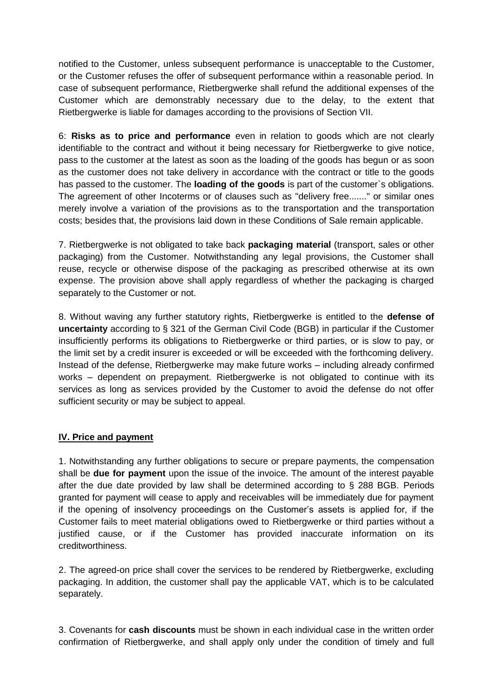notified to the Customer, unless subsequent performance is unacceptable to the Customer, or the Customer refuses the offer of subsequent performance within a reasonable period. In case of subsequent performance, Rietbergwerke shall refund the additional expenses of the Customer which are demonstrably necessary due to the delay, to the extent that Rietbergwerke is liable for damages according to the provisions of Section VII.

6: **Risks as to price and performance** even in relation to goods which are not clearly identifiable to the contract and without it being necessary for Rietbergwerke to give notice, pass to the customer at the latest as soon as the loading of the goods has begun or as soon as the customer does not take delivery in accordance with the contract or title to the goods has passed to the customer. The **loading of the goods** is part of the customer`s obligations. The agreement of other Incoterms or of clauses such as "delivery free......." or similar ones merely involve a variation of the provisions as to the transportation and the transportation costs; besides that, the provisions laid down in these Conditions of Sale remain applicable.

7. Rietbergwerke is not obligated to take back **packaging material** (transport, sales or other packaging) from the Customer. Notwithstanding any legal provisions, the Customer shall reuse, recycle or otherwise dispose of the packaging as prescribed otherwise at its own expense. The provision above shall apply regardless of whether the packaging is charged separately to the Customer or not.

8. Without waving any further statutory rights, Rietbergwerke is entitled to the **defense of uncertainty** according to § 321 of the German Civil Code (BGB) in particular if the Customer insufficiently performs its obligations to Rietbergwerke or third parties, or is slow to pay, or the limit set by a credit insurer is exceeded or will be exceeded with the forthcoming delivery. Instead of the defense, Rietbergwerke may make future works – including already confirmed works – dependent on prepayment. Rietbergwerke is not obligated to continue with its services as long as services provided by the Customer to avoid the defense do not offer sufficient security or may be subject to appeal.

## **IV. Price and payment**

1. Notwithstanding any further obligations to secure or prepare payments, the compensation shall be **due for payment** upon the issue of the invoice. The amount of the interest payable after the due date provided by law shall be determined according to § 288 BGB. Periods granted for payment will cease to apply and receivables will be immediately due for payment if the opening of insolvency proceedings on the Customer's assets is applied for, if the Customer fails to meet material obligations owed to Rietbergwerke or third parties without a justified cause, or if the Customer has provided inaccurate information on its creditworthiness.

2. The agreed-on price shall cover the services to be rendered by Rietbergwerke, excluding packaging. In addition, the customer shall pay the applicable VAT, which is to be calculated separately.

3. Covenants for **cash discounts** must be shown in each individual case in the written order confirmation of Rietbergwerke, and shall apply only under the condition of timely and full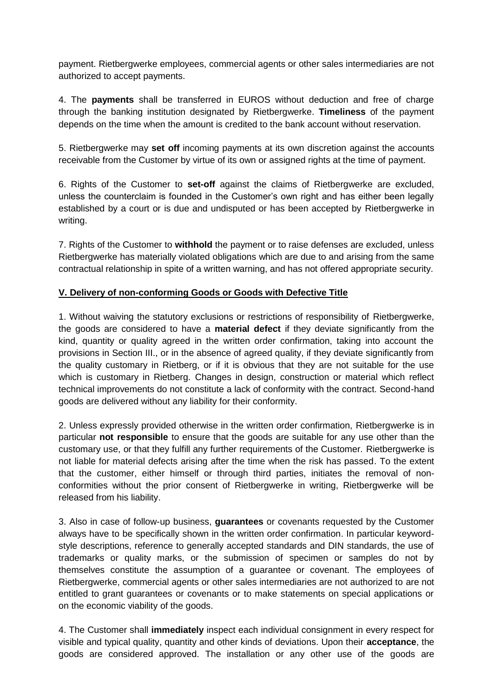payment. Rietbergwerke employees, commercial agents or other sales intermediaries are not authorized to accept payments.

4. The **payments** shall be transferred in EUROS without deduction and free of charge through the banking institution designated by Rietbergwerke. **Timeliness** of the payment depends on the time when the amount is credited to the bank account without reservation.

5. Rietbergwerke may **set off** incoming payments at its own discretion against the accounts receivable from the Customer by virtue of its own or assigned rights at the time of payment.

6. Rights of the Customer to **set-off** against the claims of Rietbergwerke are excluded, unless the counterclaim is founded in the Customer's own right and has either been legally established by a court or is due and undisputed or has been accepted by Rietbergwerke in writing.

7. Rights of the Customer to **withhold** the payment or to raise defenses are excluded, unless Rietbergwerke has materially violated obligations which are due to and arising from the same contractual relationship in spite of a written warning, and has not offered appropriate security.

### **V. Delivery of non-conforming Goods or Goods with Defective Title**

1. Without waiving the statutory exclusions or restrictions of responsibility of Rietbergwerke, the goods are considered to have a **material defect** if they deviate significantly from the kind, quantity or quality agreed in the written order confirmation, taking into account the provisions in Section III., or in the absence of agreed quality, if they deviate significantly from the quality customary in Rietberg, or if it is obvious that they are not suitable for the use which is customary in Rietberg. Changes in design, construction or material which reflect technical improvements do not constitute a lack of conformity with the contract. Second-hand goods are delivered without any liability for their conformity.

2. Unless expressly provided otherwise in the written order confirmation, Rietbergwerke is in particular **not responsible** to ensure that the goods are suitable for any use other than the customary use, or that they fulfill any further requirements of the Customer. Rietbergwerke is not liable for material defects arising after the time when the risk has passed. To the extent that the customer, either himself or through third parties, initiates the removal of nonconformities without the prior consent of Rietbergwerke in writing, Rietbergwerke will be released from his liability.

3. Also in case of follow-up business, **guarantees** or covenants requested by the Customer always have to be specifically shown in the written order confirmation. In particular keywordstyle descriptions, reference to generally accepted standards and DIN standards, the use of trademarks or quality marks, or the submission of specimen or samples do not by themselves constitute the assumption of a guarantee or covenant. The employees of Rietbergwerke, commercial agents or other sales intermediaries are not authorized to are not entitled to grant guarantees or covenants or to make statements on special applications or on the economic viability of the goods.

4. The Customer shall **immediately** inspect each individual consignment in every respect for visible and typical quality, quantity and other kinds of deviations. Upon their **acceptance**, the goods are considered approved. The installation or any other use of the goods are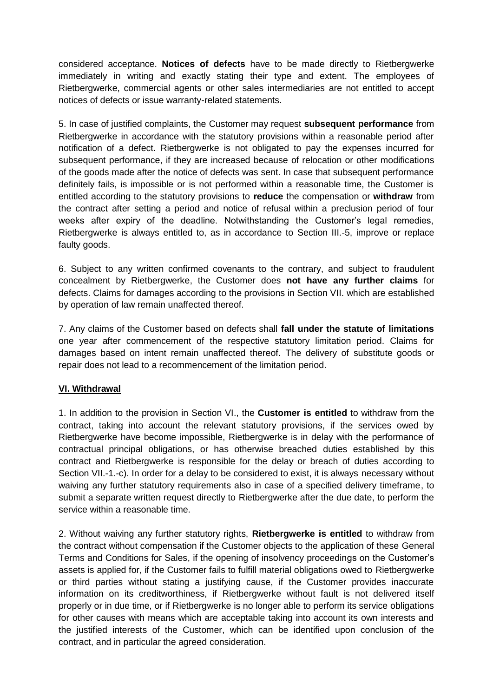considered acceptance. **Notices of defects** have to be made directly to Rietbergwerke immediately in writing and exactly stating their type and extent. The employees of Rietbergwerke, commercial agents or other sales intermediaries are not entitled to accept notices of defects or issue warranty-related statements.

5. In case of justified complaints, the Customer may request **subsequent performance** from Rietbergwerke in accordance with the statutory provisions within a reasonable period after notification of a defect. Rietbergwerke is not obligated to pay the expenses incurred for subsequent performance, if they are increased because of relocation or other modifications of the goods made after the notice of defects was sent. In case that subsequent performance definitely fails, is impossible or is not performed within a reasonable time, the Customer is entitled according to the statutory provisions to **reduce** the compensation or **withdraw** from the contract after setting a period and notice of refusal within a preclusion period of four weeks after expiry of the deadline. Notwithstanding the Customer's legal remedies, Rietbergwerke is always entitled to, as in accordance to Section III.-5, improve or replace faulty goods.

6. Subject to any written confirmed covenants to the contrary, and subject to fraudulent concealment by Rietbergwerke, the Customer does **not have any further claims** for defects. Claims for damages according to the provisions in Section VII. which are established by operation of law remain unaffected thereof.

7. Any claims of the Customer based on defects shall **fall under the statute of limitations** one year after commencement of the respective statutory limitation period. Claims for damages based on intent remain unaffected thereof. The delivery of substitute goods or repair does not lead to a recommencement of the limitation period.

#### **VI. Withdrawal**

1. In addition to the provision in Section VI., the **Customer is entitled** to withdraw from the contract, taking into account the relevant statutory provisions, if the services owed by Rietbergwerke have become impossible, Rietbergwerke is in delay with the performance of contractual principal obligations, or has otherwise breached duties established by this contract and Rietbergwerke is responsible for the delay or breach of duties according to Section VII.-1.-c). In order for a delay to be considered to exist, it is always necessary without waiving any further statutory requirements also in case of a specified delivery timeframe, to submit a separate written request directly to Rietbergwerke after the due date, to perform the service within a reasonable time.

2. Without waiving any further statutory rights, **Rietbergwerke is entitled** to withdraw from the contract without compensation if the Customer objects to the application of these General Terms and Conditions for Sales, if the opening of insolvency proceedings on the Customer's assets is applied for, if the Customer fails to fulfill material obligations owed to Rietbergwerke or third parties without stating a justifying cause, if the Customer provides inaccurate information on its creditworthiness, if Rietbergwerke without fault is not delivered itself properly or in due time, or if Rietbergwerke is no longer able to perform its service obligations for other causes with means which are acceptable taking into account its own interests and the justified interests of the Customer, which can be identified upon conclusion of the contract, and in particular the agreed consideration.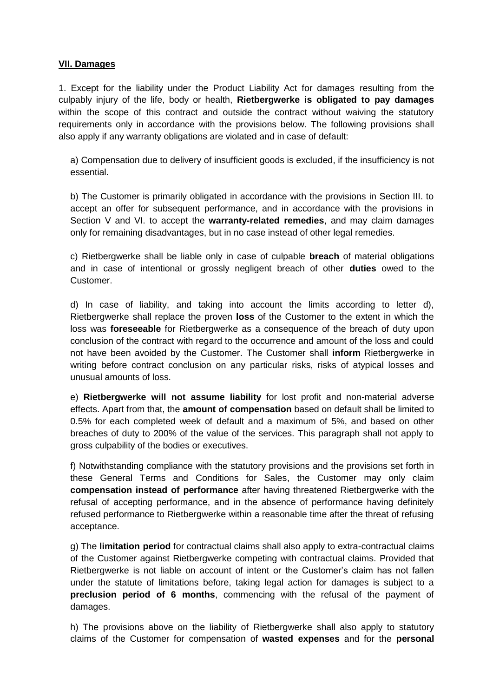#### **VII. Damages**

1. Except for the liability under the Product Liability Act for damages resulting from the culpably injury of the life, body or health, **Rietbergwerke is obligated to pay damages** within the scope of this contract and outside the contract without waiving the statutory requirements only in accordance with the provisions below. The following provisions shall also apply if any warranty obligations are violated and in case of default:

a) Compensation due to delivery of insufficient goods is excluded, if the insufficiency is not essential.

b) The Customer is primarily obligated in accordance with the provisions in Section III. to accept an offer for subsequent performance, and in accordance with the provisions in Section V and VI. to accept the **warranty-related remedies**, and may claim damages only for remaining disadvantages, but in no case instead of other legal remedies.

c) Rietbergwerke shall be liable only in case of culpable **breach** of material obligations and in case of intentional or grossly negligent breach of other **duties** owed to the Customer.

d) In case of liability, and taking into account the limits according to letter d), Rietbergwerke shall replace the proven **loss** of the Customer to the extent in which the loss was **foreseeable** for Rietbergwerke as a consequence of the breach of duty upon conclusion of the contract with regard to the occurrence and amount of the loss and could not have been avoided by the Customer. The Customer shall **inform** Rietbergwerke in writing before contract conclusion on any particular risks, risks of atypical losses and unusual amounts of loss.

e) **Rietbergwerke will not assume liability** for lost profit and non-material adverse effects. Apart from that, the **amount of compensation** based on default shall be limited to 0.5% for each completed week of default and a maximum of 5%, and based on other breaches of duty to 200% of the value of the services. This paragraph shall not apply to gross culpability of the bodies or executives.

f) Notwithstanding compliance with the statutory provisions and the provisions set forth in these General Terms and Conditions for Sales, the Customer may only claim **compensation instead of performance** after having threatened Rietbergwerke with the refusal of accepting performance, and in the absence of performance having definitely refused performance to Rietbergwerke within a reasonable time after the threat of refusing acceptance.

g) The **limitation period** for contractual claims shall also apply to extra-contractual claims of the Customer against Rietbergwerke competing with contractual claims. Provided that Rietbergwerke is not liable on account of intent or the Customer's claim has not fallen under the statute of limitations before, taking legal action for damages is subject to a **preclusion period of 6 months**, commencing with the refusal of the payment of damages.

h) The provisions above on the liability of Rietbergwerke shall also apply to statutory claims of the Customer for compensation of **wasted expenses** and for the **personal**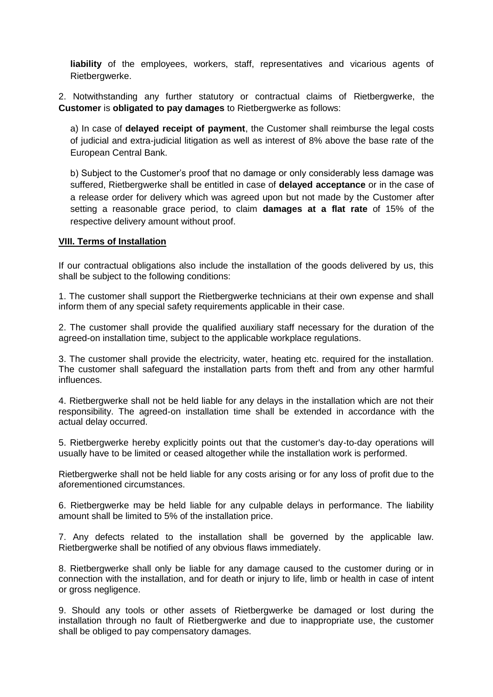**liability** of the employees, workers, staff, representatives and vicarious agents of Rietbergwerke.

2. Notwithstanding any further statutory or contractual claims of Rietbergwerke, the **Customer** is **obligated to pay damages** to Rietbergwerke as follows:

a) In case of **delayed receipt of payment**, the Customer shall reimburse the legal costs of judicial and extra-judicial litigation as well as interest of 8% above the base rate of the European Central Bank.

b) Subject to the Customer's proof that no damage or only considerably less damage was suffered, Rietbergwerke shall be entitled in case of **delayed acceptance** or in the case of a release order for delivery which was agreed upon but not made by the Customer after setting a reasonable grace period, to claim **damages at a flat rate** of 15% of the respective delivery amount without proof.

#### **VIII. Terms of Installation**

If our contractual obligations also include the installation of the goods delivered by us, this shall be subject to the following conditions:

1. The customer shall support the Rietbergwerke technicians at their own expense and shall inform them of any special safety requirements applicable in their case.

2. The customer shall provide the qualified auxiliary staff necessary for the duration of the agreed-on installation time, subject to the applicable workplace regulations.

3. The customer shall provide the electricity, water, heating etc. required for the installation. The customer shall safeguard the installation parts from theft and from any other harmful influences.

4. Rietbergwerke shall not be held liable for any delays in the installation which are not their responsibility. The agreed-on installation time shall be extended in accordance with the actual delay occurred.

5. Rietbergwerke hereby explicitly points out that the customer's day-to-day operations will usually have to be limited or ceased altogether while the installation work is performed.

Rietbergwerke shall not be held liable for any costs arising or for any loss of profit due to the aforementioned circumstances.

6. Rietbergwerke may be held liable for any culpable delays in performance. The liability amount shall be limited to 5% of the installation price.

7. Any defects related to the installation shall be governed by the applicable law. Rietbergwerke shall be notified of any obvious flaws immediately.

8. Rietbergwerke shall only be liable for any damage caused to the customer during or in connection with the installation, and for death or injury to life, limb or health in case of intent or gross negligence.

9. Should any tools or other assets of Rietbergwerke be damaged or lost during the installation through no fault of Rietbergwerke and due to inappropriate use, the customer shall be obliged to pay compensatory damages.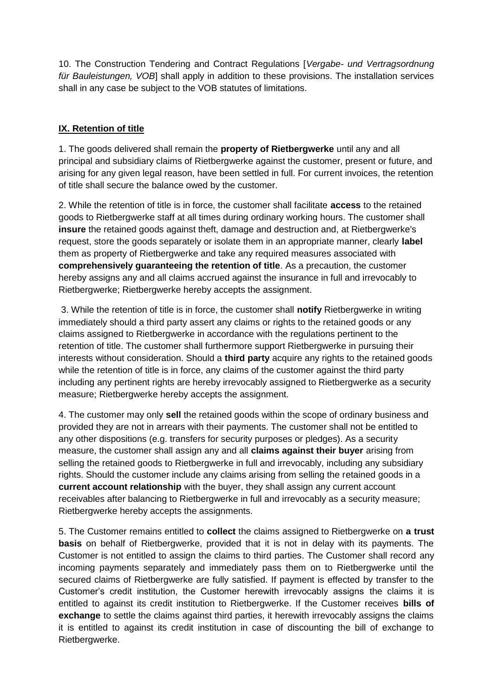10. The Construction Tendering and Contract Regulations [*Vergabe- und Vertragsordnung für Bauleistungen, VOB*] shall apply in addition to these provisions. The installation services shall in any case be subject to the VOB statutes of limitations.

# **IX. Retention of title**

1. The goods delivered shall remain the **property of Rietbergwerke** until any and all principal and subsidiary claims of Rietbergwerke against the customer, present or future, and arising for any given legal reason, have been settled in full. For current invoices, the retention of title shall secure the balance owed by the customer.

2. While the retention of title is in force, the customer shall facilitate **access** to the retained goods to Rietbergwerke staff at all times during ordinary working hours. The customer shall **insure** the retained goods against theft, damage and destruction and, at Rietbergwerke's request, store the goods separately or isolate them in an appropriate manner, clearly **label** them as property of Rietbergwerke and take any required measures associated with **comprehensively guaranteeing the retention of title**. As a precaution, the customer hereby assigns any and all claims accrued against the insurance in full and irrevocably to Rietbergwerke; Rietbergwerke hereby accepts the assignment.

3. While the retention of title is in force, the customer shall **notify** Rietbergwerke in writing immediately should a third party assert any claims or rights to the retained goods or any claims assigned to Rietbergwerke in accordance with the regulations pertinent to the retention of title. The customer shall furthermore support Rietbergwerke in pursuing their interests without consideration. Should a **third party** acquire any rights to the retained goods while the retention of title is in force, any claims of the customer against the third party including any pertinent rights are hereby irrevocably assigned to Rietbergwerke as a security measure; Rietbergwerke hereby accepts the assignment.

4. The customer may only **sell** the retained goods within the scope of ordinary business and provided they are not in arrears with their payments. The customer shall not be entitled to any other dispositions (e.g. transfers for security purposes or pledges). As a security measure, the customer shall assign any and all **claims against their buyer** arising from selling the retained goods to Rietbergwerke in full and irrevocably, including any subsidiary rights. Should the customer include any claims arising from selling the retained goods in a **current account relationship** with the buyer, they shall assign any current account receivables after balancing to Rietbergwerke in full and irrevocably as a security measure; Rietbergwerke hereby accepts the assignments.

5. The Customer remains entitled to **collect** the claims assigned to Rietbergwerke on **a trust basis** on behalf of Rietbergwerke, provided that it is not in delay with its payments. The Customer is not entitled to assign the claims to third parties. The Customer shall record any incoming payments separately and immediately pass them on to Rietbergwerke until the secured claims of Rietbergwerke are fully satisfied. If payment is effected by transfer to the Customer's credit institution, the Customer herewith irrevocably assigns the claims it is entitled to against its credit institution to Rietbergwerke. If the Customer receives **bills of exchange** to settle the claims against third parties, it herewith irrevocably assigns the claims it is entitled to against its credit institution in case of discounting the bill of exchange to Rietbergwerke.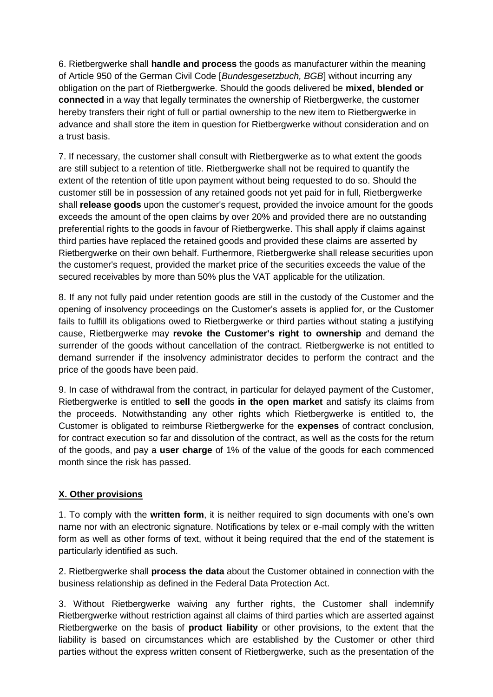6. Rietbergwerke shall **handle and process** the goods as manufacturer within the meaning of Article 950 of the German Civil Code [*Bundesgesetzbuch, BGB*] without incurring any obligation on the part of Rietbergwerke. Should the goods delivered be **mixed, blended or connected** in a way that legally terminates the ownership of Rietbergwerke, the customer hereby transfers their right of full or partial ownership to the new item to Rietbergwerke in advance and shall store the item in question for Rietbergwerke without consideration and on a trust basis.

7. If necessary, the customer shall consult with Rietbergwerke as to what extent the goods are still subject to a retention of title. Rietbergwerke shall not be required to quantify the extent of the retention of title upon payment without being requested to do so. Should the customer still be in possession of any retained goods not yet paid for in full, Rietbergwerke shall **release goods** upon the customer's request, provided the invoice amount for the goods exceeds the amount of the open claims by over 20% and provided there are no outstanding preferential rights to the goods in favour of Rietbergwerke. This shall apply if claims against third parties have replaced the retained goods and provided these claims are asserted by Rietbergwerke on their own behalf. Furthermore, Rietbergwerke shall release securities upon the customer's request, provided the market price of the securities exceeds the value of the secured receivables by more than 50% plus the VAT applicable for the utilization.

8. If any not fully paid under retention goods are still in the custody of the Customer and the opening of insolvency proceedings on the Customer's assets is applied for, or the Customer fails to fulfill its obligations owed to Rietbergwerke or third parties without stating a justifying cause, Rietbergwerke may **revoke the Customer's right to ownership** and demand the surrender of the goods without cancellation of the contract. Rietbergwerke is not entitled to demand surrender if the insolvency administrator decides to perform the contract and the price of the goods have been paid.

9. In case of withdrawal from the contract, in particular for delayed payment of the Customer, Rietbergwerke is entitled to **sell** the goods **in the open market** and satisfy its claims from the proceeds. Notwithstanding any other rights which Rietbergwerke is entitled to, the Customer is obligated to reimburse Rietbergwerke for the **expenses** of contract conclusion, for contract execution so far and dissolution of the contract, as well as the costs for the return of the goods, and pay a **user charge** of 1% of the value of the goods for each commenced month since the risk has passed.

## **X. Other provisions**

1. To comply with the **written form**, it is neither required to sign documents with one's own name nor with an electronic signature. Notifications by telex or e-mail comply with the written form as well as other forms of text, without it being required that the end of the statement is particularly identified as such.

2. Rietbergwerke shall **process the data** about the Customer obtained in connection with the business relationship as defined in the Federal Data Protection Act.

3. Without Rietbergwerke waiving any further rights, the Customer shall indemnify Rietbergwerke without restriction against all claims of third parties which are asserted against Rietbergwerke on the basis of **product liability** or other provisions, to the extent that the liability is based on circumstances which are established by the Customer or other third parties without the express written consent of Rietbergwerke, such as the presentation of the